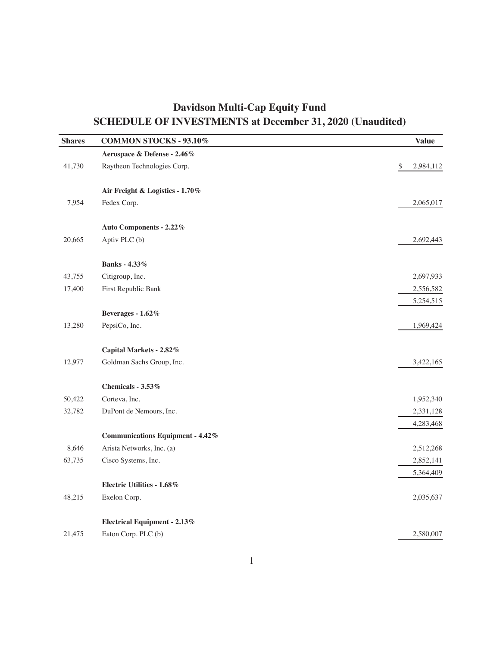| <b>Shares</b> | COMMON STOCKS - 93.10%                  | <b>Value</b>    |
|---------------|-----------------------------------------|-----------------|
|               | Aerospace & Defense - 2.46%             |                 |
| 41,730        | Raytheon Technologies Corp.             | \$<br>2,984,112 |
|               | Air Freight & Logistics - 1.70%         |                 |
| 7,954         | Fedex Corp.                             | 2,065,017       |
|               | Auto Components - 2.22%                 |                 |
| 20,665        | Aptiv PLC (b)                           | 2,692,443       |
|               | <b>Banks</b> - 4.33%                    |                 |
| 43,755        | Citigroup, Inc.                         | 2,697,933       |
| 17,400        | First Republic Bank                     | 2,556,582       |
|               |                                         | 5,254,515       |
|               | Beverages - 1.62%                       |                 |
| 13,280        | PepsiCo, Inc.                           | 1,969,424       |
|               | Capital Markets - 2.82%                 |                 |
| 12,977        | Goldman Sachs Group, Inc.               | 3,422,165       |
|               | Chemicals - 3.53%                       |                 |
| 50,422        | Corteva, Inc.                           | 1,952,340       |
| 32,782        | DuPont de Nemours, Inc.                 | 2,331,128       |
|               |                                         | 4,283,468       |
|               | <b>Communications Equipment - 4.42%</b> |                 |
| 8,646         | Arista Networks, Inc. (a)               | 2,512,268       |
| 63,735        | Cisco Systems, Inc.                     | 2,852,141       |
|               |                                         | 5,364,409       |
|               | <b>Electric Utilities - 1.68%</b>       |                 |
| 48,215        | Exelon Corp.                            | 2,035,637       |
|               | Electrical Equipment - $2.13\%$         |                 |
| 21,475        | Eaton Corp. PLC (b)                     | 2,580,007       |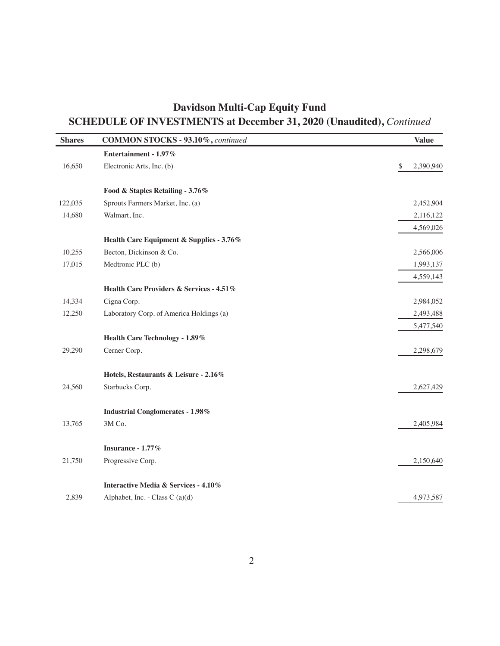| <b>Shares</b> | COMMON STOCKS - 93.10%, continued        | <b>Value</b>    |
|---------------|------------------------------------------|-----------------|
|               | Entertainment - 1.97%                    |                 |
| 16,650        | Electronic Arts, Inc. (b)                | \$<br>2,390,940 |
|               | Food & Staples Retailing - 3.76%         |                 |
| 122,035       | Sprouts Farmers Market, Inc. (a)         | 2,452,904       |
| 14,680        | Walmart, Inc.                            | 2,116,122       |
|               |                                          | 4,569,026       |
|               | Health Care Equipment & Supplies - 3.76% |                 |
| 10,255        | Becton, Dickinson & Co.                  | 2,566,006       |
| 17,015        | Medtronic PLC (b)                        | 1,993,137       |
|               |                                          | 4,559,143       |
|               | Health Care Providers & Services - 4.51% |                 |
| 14,334        | Cigna Corp.                              | 2,984,052       |
| 12,250        | Laboratory Corp. of America Holdings (a) | 2,493,488       |
|               |                                          | 5,477,540       |
|               | Health Care Technology - 1.89%           |                 |
| 29,290        | Cerner Corp.                             | 2,298,679       |
|               | Hotels, Restaurants & Leisure - 2.16%    |                 |
| 24,560        | Starbucks Corp.                          | 2,627,429       |
|               | <b>Industrial Conglomerates - 1.98%</b>  |                 |
| 13,765        | 3M Co.                                   | 2,405,984       |
|               | Insurance - 1.77%                        |                 |
| 21,750        | Progressive Corp.                        | 2,150,640       |
|               | Interactive Media & Services - 4.10%     |                 |
| 2.839         | Alphabet, Inc. - Class C $(a)(d)$        | 4,973,587       |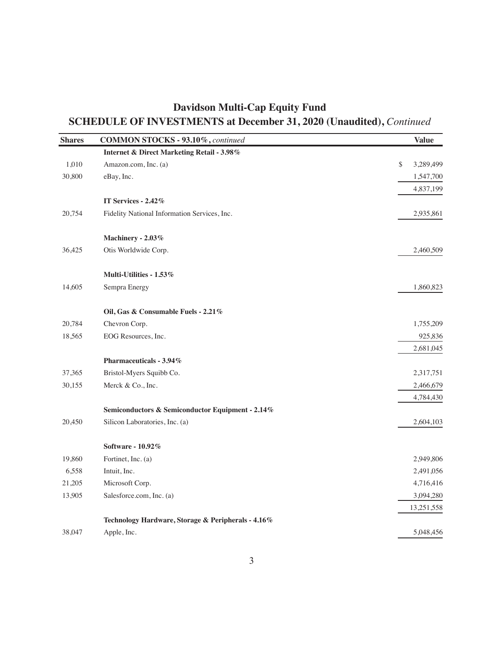| <b>Shares</b> | COMMON STOCKS - 93.10%, continued                     | <b>Value</b>    |
|---------------|-------------------------------------------------------|-----------------|
|               | <b>Internet &amp; Direct Marketing Retail - 3.98%</b> |                 |
| 1,010         | Amazon.com, Inc. (a)                                  | \$<br>3,289,499 |
| 30,800        | eBay, Inc.                                            | 1,547,700       |
|               |                                                       | 4,837,199       |
|               | IT Services - 2.42%                                   |                 |
| 20,754        | Fidelity National Information Services, Inc.          | 2,935,861       |
|               | Machinery - 2.03%                                     |                 |
| 36,425        | Otis Worldwide Corp.                                  | 2,460,509       |
|               | Multi-Utilities - 1.53%                               |                 |
| 14,605        | Sempra Energy                                         | 1,860,823       |
|               | Oil, Gas & Consumable Fuels - 2.21%                   |                 |
| 20,784        | Chevron Corp.                                         | 1,755,209       |
| 18,565        | EOG Resources, Inc.                                   | 925,836         |
|               |                                                       | 2,681,045       |
|               | Pharmaceuticals - 3.94%                               |                 |
| 37,365        | Bristol-Myers Squibb Co.                              | 2,317,751       |
| 30,155        | Merck & Co., Inc.                                     | 2,466,679       |
|               |                                                       | 4,784,430       |
|               | Semiconductors & Semiconductor Equipment - 2.14%      |                 |
| 20,450        | Silicon Laboratories, Inc. (a)                        | 2,604,103       |
|               | Software - 10.92%                                     |                 |
| 19,860        | Fortinet, Inc. (a)                                    | 2,949,806       |
| 6,558         | Intuit, Inc.                                          | 2,491,056       |
| 21,205        | Microsoft Corp.                                       | 4,716,416       |
| 13,905        | Salesforce.com, Inc. (a)                              | 3,094,280       |
|               |                                                       | 13,251,558      |
|               | Technology Hardware, Storage & Peripherals - 4.16%    |                 |
| 38,047        | Apple, Inc.                                           | 5,048,456       |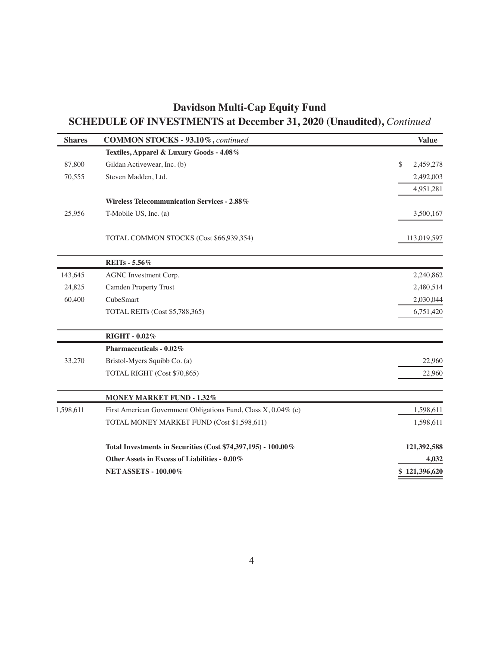| <b>Shares</b> | COMMON STOCKS - 93.10%, continued                              | <b>Value</b>    |
|---------------|----------------------------------------------------------------|-----------------|
|               | Textiles, Apparel & Luxury Goods - 4.08%                       |                 |
| 87,800        | Gildan Activewear, Inc. (b)                                    | \$<br>2,459,278 |
| 70,555        | Steven Madden, Ltd.                                            | 2,492,003       |
|               |                                                                | 4,951,281       |
|               | <b>Wireless Telecommunication Services - 2.88%</b>             |                 |
| 25,956        | T-Mobile US, Inc. (a)                                          | 3,500,167       |
|               | TOTAL COMMON STOCKS (Cost \$66,939,354)                        | 113,019,597     |
|               | <b>REITs</b> - 5.56%                                           |                 |
| 143,645       | AGNC Investment Corp.                                          | 2,240,862       |
| 24,825        | <b>Camden Property Trust</b>                                   | 2,480,514       |
| 60,400        | CubeSmart                                                      | 2,030,044       |
|               | TOTAL REITs (Cost \$5,788,365)                                 | 6,751,420       |
|               | RIGHT - 0.02%                                                  |                 |
|               | Pharmaceuticals - 0.02%                                        |                 |
| 33,270        | Bristol-Myers Squibb Co. (a)                                   | 22,960          |
|               | TOTAL RIGHT (Cost \$70,865)                                    | 22,960          |
|               | <b>MONEY MARKET FUND - 1.32%</b>                               |                 |
| 1,598,611     | First American Government Obligations Fund, Class X, 0.04% (c) | 1,598,611       |
|               | TOTAL MONEY MARKET FUND (Cost \$1,598,611)                     | 1,598,611       |
|               | Total Investments in Securities (Cost \$74,397,195) - 100.00%  | 121,392,588     |
|               | Other Assets in Excess of Liabilities - 0.00%                  | 4,032           |
|               | <b>NET ASSETS - 100.00%</b>                                    | \$121,396,620   |